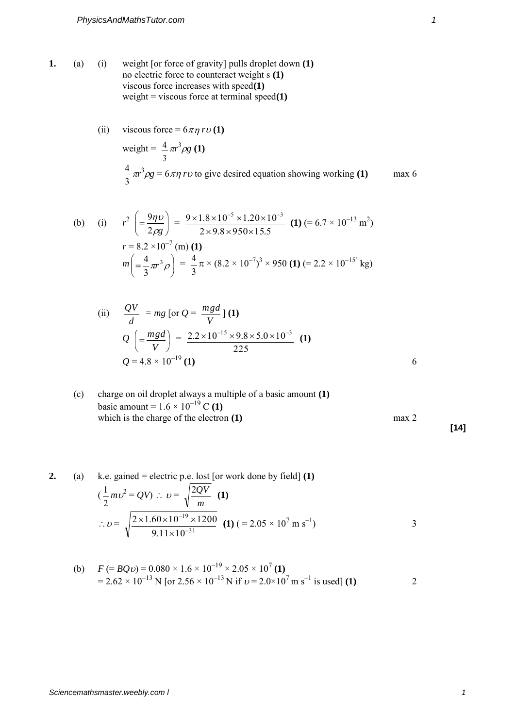**1.** (a) (i) weight [or force of gravity] pulls droplet down **(1)** no electric force to counteract weight s **(1)** viscous force increases with speed**(1)** weight = viscous force at terminal speed**(1)**

(ii) viscous force = 
$$
6 \pi \eta r \upsilon
$$
 (1)  
weight =  $\frac{4}{3} \pi r^3 \rho g$  (1)  
 $\frac{4}{3} \pi r^3 \rho g = 6 \pi \eta r \upsilon$  to give desired equation showing working (1) max 6

(b) (i) 
$$
r^2 \left( = \frac{9\pi v}{2\rho g} \right) = \frac{9 \times 1.8 \times 10^{-5} \times 1.20 \times 10^{-3}}{2 \times 9.8 \times 950 \times 15.5}
$$
 (1)  $(= 6.7 \times 10^{-13} \text{ m}^2)$   
\n $r = 8.2 \times 10^{-7} \text{ (m) (1)}$   
\n $m \left( = \frac{4}{3} \pi r^3 \rho \right) = \frac{4}{3} \pi \times (8.2 \times 10^{-7})^3 \times 950 \text{ (1)} = 2.2 \times 10^{-15} \text{ kg}$ 

(ii) 
$$
\frac{QV}{d} = mg \left[ or \ Q = \frac{mgd}{V} \right] (1)
$$
  

$$
Q \left( = \frac{mgd}{V} \right) = \frac{2.2 \times 10^{-15} \times 9.8 \times 5.0 \times 10^{-3}}{225} (1)
$$
  

$$
Q = 4.8 \times 10^{-19} (1)
$$

(c) charge on oil droplet always a multiple of a basic amount (1)  
basic amount = 
$$
1.6 \times 10^{-19}
$$
 C (1)  
which is the charge of the electron (1) max 2

2. (a) k.e. gained = electric p.e. lost [or work done by field] (1)  
\n
$$
(\frac{1}{2}mv^2 = QV) : v = \sqrt{\frac{2QV}{m}} (1)
$$
\n
$$
v = \sqrt{\frac{2 \times 1.60 \times 10^{-19} \times 1200}{9.11 \times 10^{-31}} (1) (-2.05 \times 10^7 \text{ m s}^{-1})}
$$

(b) 
$$
F (= BQv) = 0.080 \times 1.6 \times 10^{-19} \times 2.05 \times 10^7
$$
 (1)  
= 2.62 × 10<sup>-13</sup> N [or 2.56 × 10<sup>-13</sup> N if v = 2.0×10<sup>7</sup> m s<sup>-1</sup> is used] (1)

**[14]**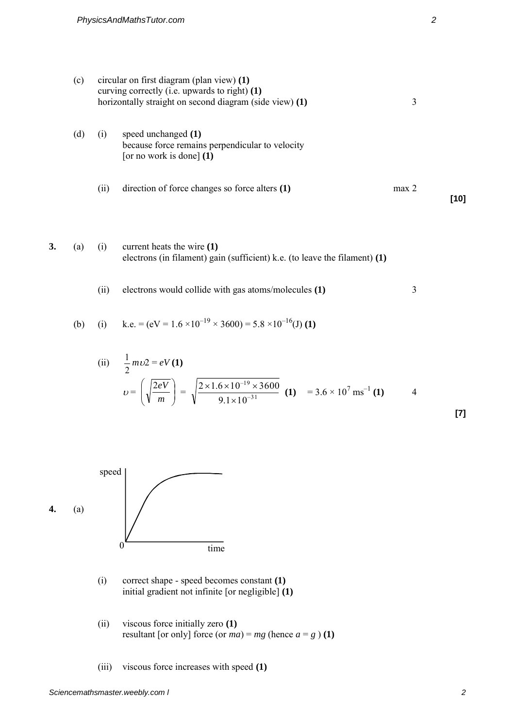| (c) | circular on first diagram (plan view) $(1)$<br>curving correctly (i.e. upwards to right) (1)<br>horizontally straight on second diagram (side view) (1)<br>3 |                                                                                                        |                  |      |  |
|-----|--------------------------------------------------------------------------------------------------------------------------------------------------------------|--------------------------------------------------------------------------------------------------------|------------------|------|--|
| l d | $\left(1\right)$                                                                                                                                             | speed unchanged $(1)$<br>because force remains perpendicular to velocity<br>[or no work is done] $(1)$ |                  |      |  |
|     | (ii)                                                                                                                                                         | direction of force changes so force alters (1)                                                         | max <sub>2</sub> | [10] |  |

**3.** (a) (i) current heats the wire **(1)** electrons (in filament) gain (sufficient) k.e. (to leave the filament) **(1)**

(ii) electrons would collide with gas atoms/molecules **(1)** 3

(b) (i) k.e. = 
$$
(eV = 1.6 \times 10^{-19} \times 3600) = 5.8 \times 10^{-16}
$$
(J) (1)

(ii) 
$$
\frac{1}{2} m \upsilon 2 = eV(1)
$$
  

$$
\upsilon = \left(\sqrt{\frac{2eV}{m}}\right) = \sqrt{\frac{2 \times 1.6 \times 10^{-19} \times 3600}{9.1 \times 10^{-31}}}(1) = 3.6 \times 10^7 \text{ ms}^{-1}(1)
$$
 4



- (i) correct shape speed becomes constant **(1)** initial gradient not infinite [or negligible] **(1)**
- (ii) viscous force initially zero **(1)** resultant [or only] force (or  $ma$ ) =  $mg$  (hence  $a = g$ ) **(1)**
- (iii) viscous force increases with speed **(1)**

**[7]**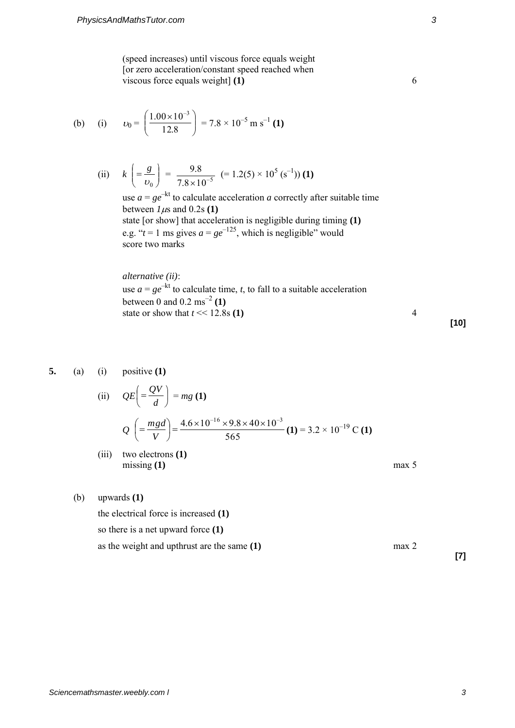(speed increases) until viscous force equals weight [or zero acceleration/constant speed reached when viscous force equals weight] **(1)** 6

(b) (i) 
$$
v_0 = \left(\frac{1.00 \times 10^{-3}}{12.8}\right) = 7.8 \times 10^{-5} \text{ m s}^{-1}
$$
 (1)

(ii) 
$$
k\left(=\frac{g}{\nu_0}\right) = \frac{9.8}{7.8 \times 10^{-5}} (=1.2(5) \times 10^5 \text{ (s}^{-1)})
$$
 (1)

use  $a = g e^{-kt}$  to calculate acceleration *a* correctly after suitable time between  $1\mu$ s and 0.2s **(1)** state [or show] that acceleration is negligible during timing **(1)** e.g. " $t = 1$  ms gives  $a = ge^{-125}$ , which is negligible" would score two marks

*alternative (ii)*: use  $a = ge^{-kt}$  to calculate time, *t*, to fall to a suitable acceleration between 0 and 0.2 ms–2 **(1)** state or show that  $t \ll 12.8$ s (1) 4

**5.** (a) (i) positive **(1)**

(ii) 
$$
QE = \frac{QV}{d}
$$
 = mg (1)  

$$
Q = \frac{mgd}{V} = \frac{4.6 \times 10^{-16} \times 9.8 \times 40 \times 10^{-3}}{565} = 3.2 \times 10^{-19} \text{ C (1)}
$$

(iii) two electrons **(1)** missing **(1)** max 5

(b) upwards **(1)**

The electrical force is increased (1)

\nso there is a net upward force (1)

\nas the weight and upthrust are the same 
$$
(1)
$$
 max 2

**[10]** 

**[7]**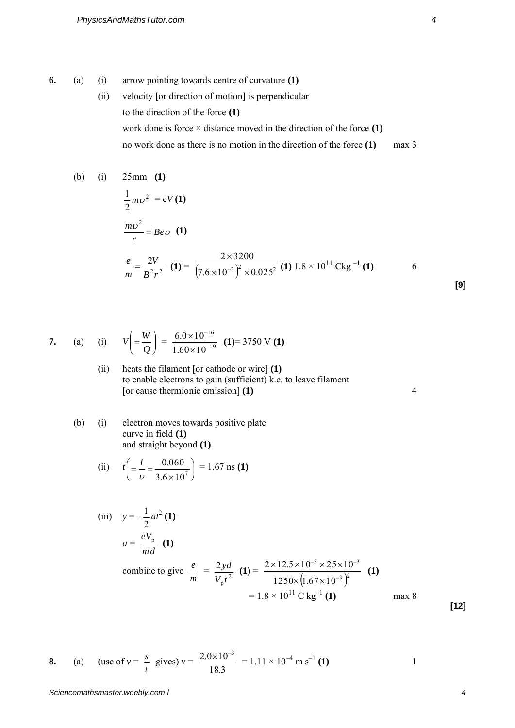- **6.** (a) (i) arrow pointing towards centre of curvature **(1)**
	- (ii) velocity [or direction of motion] is perpendicular to the direction of the force **(1)** work done is force  $\times$  distance moved in the direction of the force **(1)** no work done as there is no motion in the direction of the force **(1)** max 3

(b) (i) 
$$
25 \text{mm}
$$
 (1)  
\n
$$
\frac{1}{2} m v^2 = eV(1)
$$
\n
$$
\frac{mv^2}{r} = Bev \quad (1)
$$
\n
$$
\frac{e}{m} = \frac{2V}{B^2 r^2} \quad (1) = \frac{2 \times 3200}{(7.6 \times 10^{-3})^2 \times 0.025^2} \quad (1) \ 1.8 \times 10^{11} \text{ Ckg}^{-1} \quad (1) \qquad 6
$$

7. (a) (i) 
$$
V\left( = \frac{W}{Q} \right) = \frac{6.0 \times 10^{-16}}{1.60 \times 10^{-19}}
$$
 (1)= 3750 V (1)

- (ii) heats the filament [or cathode or wire] **(1)** to enable electrons to gain (sufficient) k.e. to leave filament [or cause thermionic emission] **(1)** 4
- (b) (i) electron moves towards positive plate curve in field **(1)** and straight beyond **(1)**

(ii) 
$$
t\left(=\frac{l}{\nu}=\frac{0.060}{3.6\times10^7}\right) = 1.67 \text{ ns (1)}
$$

(iii) 
$$
y = -\frac{1}{2}at^2(1)
$$
  
\n $a = \frac{eV_p}{md}(1)$   
\ncombine to give  $\frac{e}{m} = \frac{2yd}{V_p t^2}(1) = \frac{2 \times 12.5 \times 10^{-3} \times 25 \times 10^{-3}}{1250 \times (1.67 \times 10^{-9})^2}$  (1)  
\n $= 1.8 \times 10^{11} \text{ C kg}^{-1}(1)$  max 8

**[12]** 

**[9]** 

8. (a) (use of 
$$
v = \frac{s}{t}
$$
 gives)  $v = \frac{2.0 \times 10^{-3}}{18.3} = 1.11 \times 10^{-4} \text{ m s}^{-1}$  (1)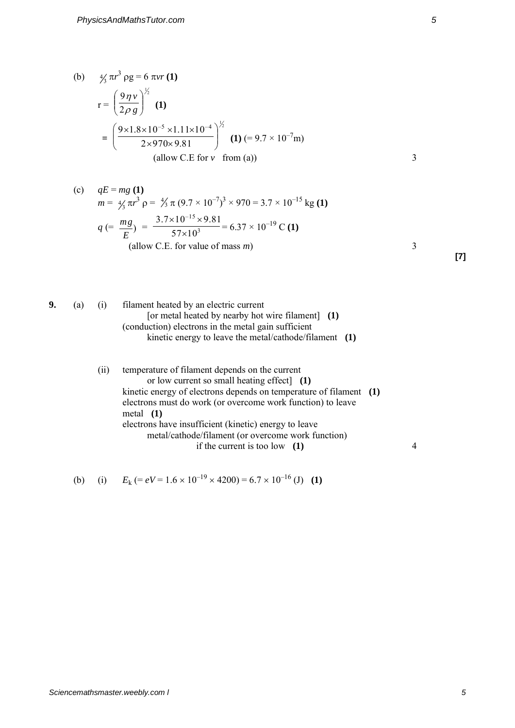(b) 
$$
\frac{4}{3}\pi r^3 \rho g = 6 \pi v r (1)
$$
  
\n
$$
r = \left(\frac{9\eta v}{2\rho g}\right)^{\frac{1}{2}} (1)
$$
  
\n
$$
= \left(\frac{9 \times 1.8 \times 10^{-5} \times 1.11 \times 10^{-4}}{2 \times 970 \times 9.81}\right)^{\frac{1}{2}} (1) (=9.7 \times 10^{-7} m)
$$
  
\n(allow C.E for v from (a))

(c) 
$$
qE = mg(1)
$$
  
\n $m = \frac{4}{3} \pi r^3 \rho = \frac{4}{3} \pi (9.7 \times 10^{-7})^3 \times 970 = 3.7 \times 10^{-15} \text{ kg (1)}$   
\n $q = \frac{mg}{E} = \frac{3.7 \times 10^{-15} \times 9.81}{57 \times 10^3} = 6.37 \times 10^{-19} \text{ C (1)}$   
\n(allow C.E. for value of mass *m*)

**[7]** 

| ٠<br>÷<br>۰,<br>I<br>۰.<br>۰. | ٠<br>× |  |
|-------------------------------|--------|--|
|                               |        |  |

**9.** (a) (i) filament heated by an electric current [or metal heated by nearby hot wire filament] **(1)** (conduction) electrons in the metal gain sufficient kinetic energy to leave the metal/cathode/filament **(1)**

> (ii) temperature of filament depends on the current or low current so small heating effect] **(1)** kinetic energy of electrons depends on temperature of filament **(1)** electrons must do work (or overcome work function) to leave metal **(1)** electrons have insufficient (kinetic) energy to leave metal/cathode/filament (or overcome work function) if the current is too low **(1)** 4

(b) (i) 
$$
E_k (= eV = 1.6 \times 10^{-19} \times 4200) = 6.7 \times 10^{-16}
$$
 (J) (1)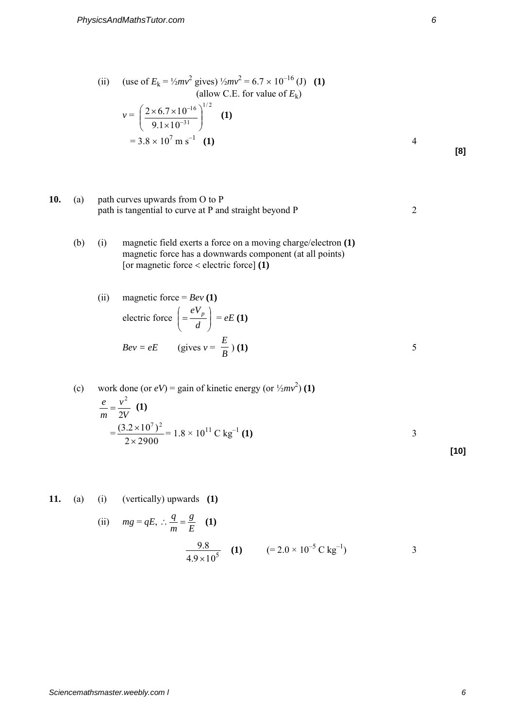(ii) (use of  $E_k = \frac{1}{2}mv^2$  gives)  $\frac{1}{2}mv^2 = 6.7 \times 10^{-16}$  (J) (1) (allow C.E. for value of  $E_k$ ) *v* = 2/1 31 16  $9.1 \times 10$  $2\times 6.7\times 10$  $\overline{\phantom{a}}$ J  $\setminus$  $\overline{\phantom{a}}$  $\setminus$ ſ  $\times$  $\times$  6.7  $\times$  $\overline{\phantom{0}}$  $\left(\frac{-16}{1}\right)^{1/2}$  **(1)**  $= 3.8 \times 10^7 \text{ m s}^{-1}$  (1) **(1)** 4

**10.** (a) path curves upwards from O to P path is tangential to curve at  $P$  and straight beyond  $P$  2

(b) (i) magnetic field exerts a force on a moving charge/electron **(1)**  magnetic force has a downwards component (at all points) [or magnetic force  $\lt$  electric force] **(1)** 

(ii) magnetic force = 
$$
Bev(1)
$$
  
\nelectric force  $\left( = \frac{eV_p}{d} \right) = eE(1)$   
\n $Bev = eE$  (gives  $v = \frac{E}{B}$ ) (1)

(c) work done (or 
$$
eV
$$
) = gain of kinetic energy (or  $\frac{1}{2}mv^2$ ) (1)  
\n
$$
\frac{e}{m} = \frac{v^2}{2V}
$$
 (1)  
\n
$$
= \frac{(3.2 \times 10^7)^2}{2 \times 2900} = 1.8 \times 10^{11} \text{ C kg}^{-1}
$$
 (1)

**11.** (a) (i) (vertically) upwards **(1)**

(ii) 
$$
mg = qE
$$
,  $\therefore \frac{q}{m} = \frac{g}{E}$  (1)  
 $\frac{9.8}{4.9 \times 10^5}$  (1)  $(= 2.0 \times 10^{-5} \text{ C kg}^{-1})$  3

**[8]**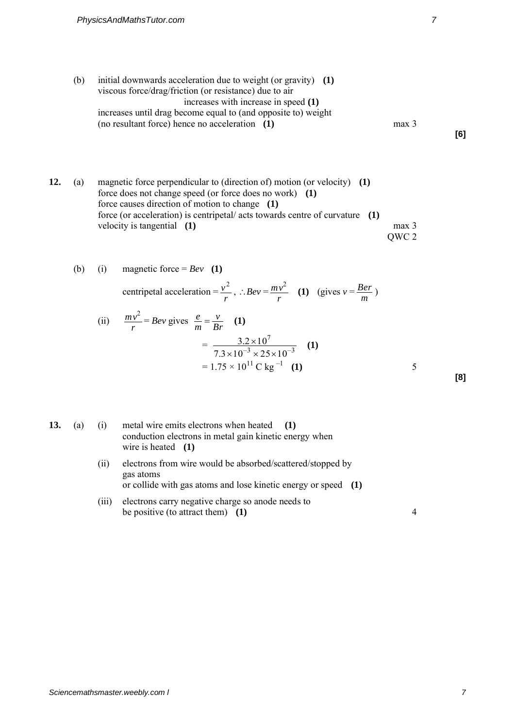(b) initial downwards acceleration due to weight (or gravity) **(1)** viscous force/drag/friction (or resistance) due to air increases with increase in speed **(1)** increases until drag become equal to (and opposite to) weight (no resultant force) hence no acceleration **(1)** max 3

*Ber* )

**12.** (a) magnetic force perpendicular to (direction of) motion (or velocity) **(1)** force does not change speed (or force does no work) **(1)**  force causes direction of motion to change **(1)**  force (or acceleration) is centripetal/ acts towards centre of curvature **(1)**  velocity is tangential **(1)** max 3 QWC 2

(b) (i) magnetic force = 
$$
Bev
$$
 (1)  
centripetal acceleration =  $\frac{v^2}{r}$ ,  $\therefore Bev = \frac{mv^2}{r}$  (1) (gives  $v = \frac{Be}{m}$ 

(ii) 
$$
\frac{mv^2}{r} = Bev \text{ gives } \frac{e}{m} = \frac{v}{Br} \quad (1)
$$

$$
= \frac{3.2 \times 10^7}{7.3 \times 10^{-3} \times 25 \times 10^{-3}} \quad (1)
$$

$$
= 1.75 \times 10^{11} \text{ C kg}^{-1} \quad (1)
$$

| ٠<br>٠<br>×<br>۰.<br>×<br>۰. |  |
|------------------------------|--|
|                              |  |

| C. I<br>a ka | (a) |
|--------------|-----|
|              |     |

| 13. | (a) | (i) | metal wire emits electrons when heated (1)             |  |
|-----|-----|-----|--------------------------------------------------------|--|
|     |     |     | conduction electrons in metal gain kinetic energy when |  |
|     |     |     | wire is heated $(1)$                                   |  |

- (ii) electrons from wire would be absorbed/scattered/stopped by gas atoms or collide with gas atoms and lose kinetic energy or speed **(1)**
- (iii) electrons carry negative charge so anode needs to be positive (to attract them) (1) 4

**[6]**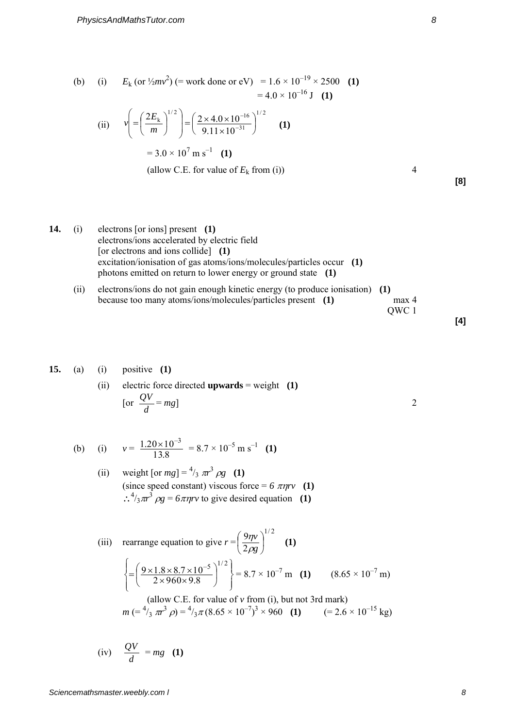(b) (i) 
$$
E_k \text{ (or } \frac{1}{2}mv^2 \text{)} (= \text{work done or eV}) = 1.6 \times 10^{-19} \times 2500
$$
 (1)  
= 4.0 × 10<sup>-16</sup> J (1)

(ii) 
$$
v = \left(\frac{2E_k}{m}\right)^{1/2} = \left(\frac{2 \times 4.0 \times 10^{-16}}{9.11 \times 10^{-31}}\right)^{1/2}
$$
 (1)  
= 3.0 × 10<sup>7</sup> m s<sup>-1</sup> (1)

(allow C.E. for value of 
$$
E_k
$$
 from (i)) 4

**14.** (i) electrons [or ions] present **(1)**  electrons/ions accelerated by electric field [or electrons and ions collide] **(1)**  excitation/ionisation of gas atoms/ions/molecules/particles occur **(1)**  photons emitted on return to lower energy or ground state **(1)**

(ii) electrons/ions do not gain enough kinetic energy (to produce ionisation) **(1)**  because too many atoms/ions/molecules/particles present **(1)** max 4 QWC 1

**[4]** 

**[8]** 

## **15.** (a) (i) positive **(1)**

(ii) electric force directed upwards = weight (1)  
\n[or 
$$
\frac{QV}{d} = mg
$$
]

(b) (i) 
$$
v = \frac{1.20 \times 10^{-3}}{13.8} = 8.7 \times 10^{-5} \text{ m s}^{-1}
$$
 (1)

(ii) weight [or 
$$
mg
$$
] =  $^{4}/_{3} \pi r^{3} \rho g$  (1)  
\n(since speed constant) viscous force =  $6 \pi \eta r v$  (1)  
\n $\therefore {}^{4}/_{3} \pi r^{3} \rho g = 6 \pi \eta r v$  to give desired equation (1)

(iii) rearrange equation to give 
$$
r = \left(\frac{9\eta v}{2\rho g}\right)^{1/2}
$$
 (1)  

$$
\left\{ = \left(\frac{9 \times 1.8 \times 8.7 \times 10^{-5}}{2 \times 960 \times 9.8}\right)^{1/2} \right\} = 8.7 \times 10^{-7} \text{ m}
$$
 (1)  $(8.65 \times 10^{-7} \text{ m})$ 

(allow C.E. for value of v from (i), but not 3rd mark)  
\n
$$
m = \frac{4}{3} \pi r^3 \rho = \frac{4}{3} \pi (8.65 \times 10^{-7})^3 \times 960
$$
 (1) (= 2.6 × 10<sup>-15</sup> kg)

(iv) 
$$
\frac{QV}{d} = mg
$$
 (1)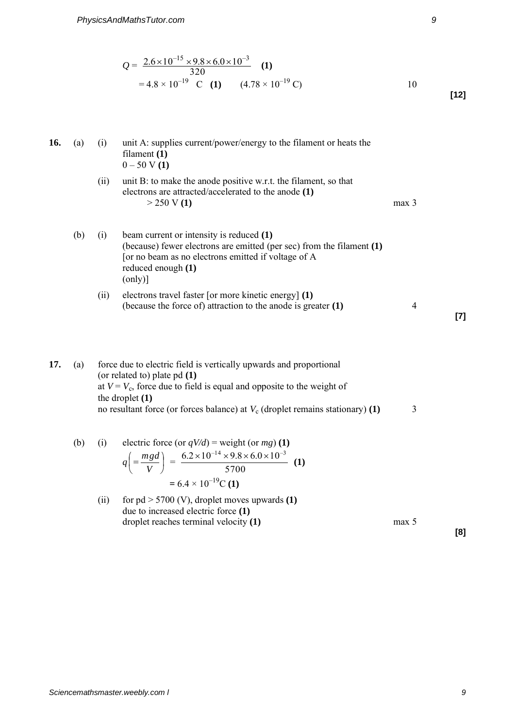$$
Q = \frac{2.6 \times 10^{-15} \times 9.8 \times 6.0 \times 10^{-3}}{320}
$$
 (1)  
= 4.8 × 10<sup>-19</sup> C (1) (4.78 × 10<sup>-19</sup> C) 10 [12]

## **16.** (a) (i) unit A: supplies current/power/energy to the filament or heats the filament **(1)**  0 – 50 V **(1)** (ii) unit B: to make the anode positive w.r.t. the filament, so that electrons are attracted/accelerated to the anode **(1)**   $> 250 \text{ V} (1)$  max 3

\n- (b) (i) beam current or intensity is reduced 
$$
(1)
$$
 (because) fewer electrons are emitted (per sec) from the filament  $(1)$  [or no beam as no electrons emitted if voltage of A reduced enough  $(1)$  (only)]
\n

(ii) electrons travel faster [or more kinetic energy] 
$$
(1)
$$
 (because the force of) attraction to the anode is greater  $(1)$  4

**17.** (a) force due to electric field is vertically upwards and proportional (or related to) plate pd **(1)**  at  $V = V_c$ , force due to field is equal and opposite to the weight of the droplet **(1)**  no resultant force (or forces balance) at  $V_c$  (droplet remains stationary) **(1)** 3

(b) (i) electric force (or 
$$
qV/d
$$
) = weight (or  $mg$ ) (1)  
\n
$$
q\left(\frac{mgd}{V}\right) = \frac{6.2 \times 10^{-14} \times 9.8 \times 6.0 \times 10^{-3}}{5700} \text{ (1)}
$$
\n
$$
= 6.4 \times 10^{-19} \text{C (1)}
$$

(ii) for 
$$
pd > 5700
$$
 (V), droplet moves upwards (1) due to increased electric force (1) droplet reaches terminal velocity (1) max 5

**[8]** 

**[7]**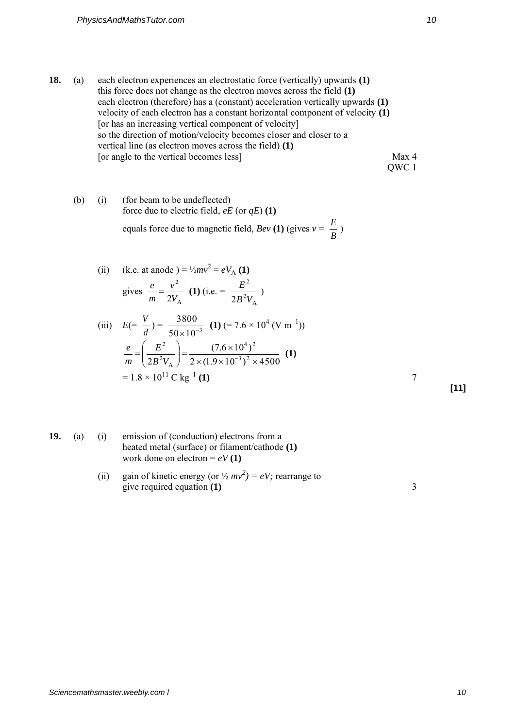**18.** (a) each electron experiences an electrostatic force (vertically) upwards **(1)**  this force does not change as the electron moves across the field **(1)**  each electron (therefore) has a (constant) acceleration vertically upwards **(1)**  velocity of each electron has a constant horizontal component of velocity **(1)**  [or has an increasing vertical component of velocity] so the direction of motion/velocity becomes closer and closer to a vertical line (as electron moves across the field) **(1)**  [or angle to the vertical becomes less] Max 4 QWC 1

(b) (i) (for beam to be undeflected)  
force due to electric field, 
$$
eE
$$
 (or  $qE$ ) (1)  
equals force due to magnetic field,  $Bev$  (1) (gives  $v = \frac{E}{B}$ )

(ii) (k.e. at anode) = 
$$
\frac{1}{2}mv^2 = eV_A(1)
$$
  
gives  $\frac{e}{m} = \frac{v^2}{2V_A}(1)$  (i.e. =  $\frac{E^2}{2B^2V_A}$ )

(iii) 
$$
E(=\frac{V}{d}) = \frac{3800}{50 \times 10^{-3}}
$$
 (1)  $(= 7.6 \times 10^{4} \text{ (V m}^{-1}))$   
\n $\frac{e}{m} = \left(\frac{E^{2}}{2B^{2}V_{A}}\right) = \frac{(7.6 \times 10^{4})^{2}}{2 \times (1.9 \times 10^{-3})^{2} \times 4500}$  (1)  
\n $= 1.8 \times 10^{11} \text{ C kg}^{-1}$  (1)

**[11]** 

- **19.** (a) (i) emission of (conduction) electrons from a heated metal (surface) or filament/cathode **(1)** work done on electron =  $eV(1)$ 
	- (ii) gain of kinetic energy (or  $\frac{1}{2}mv^2$ ) = eV; rearrange to give required equation **(1)** 3